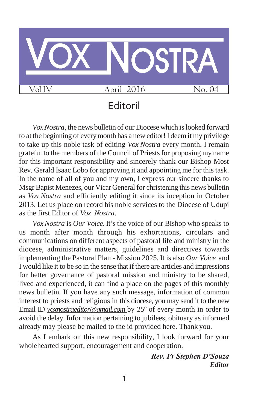

## Editoril

*Vox Nostra*, the news bulletin of our Diocese which is looked forward to at the beginning of everymonth has a new editor!I deemit my privilege to take up this noble task of editing *Vox Nostra* every month. I remain grateful to the members of the Council of Priestsfor proposing my name for this important responsibility and sincerely thank our Bishop Most Rev. Gerald Isaac Lobo for approving it and appointing me for this task. In the name of all of you and my own, I express our sincere thanks to Msgr Bapist Menezes, our Vicar General for christening this news bulletin as *Vox Nostra* and efficiently editing it since its inception in October 2013. Let us place on record his noble services to the Diocese of Udupi as the first Editor of *Vox Nostra*.

*Vox Nostra* is *Our Voice*. It's the voice of our Bishop who speaks to us month after month through his exhortations, circulars and communications on different aspects of pastoral life and ministry in the diocese, administrative matters, guidelines and directives towards implementing the Pastoral Plan - Mission 2025. It is also *Our Voice* and I would like it to be so in the sense that if there are articles and impressions for better governance of pastoral mission and ministry to be shared, lived and experienced, it can find a place on the pages of this monthly news bulletin. If you have any such message, information of common interest to priests and religious in this diocese, you may send it to the new Email ID *voxnostraeditor@gmail.com* by 25<sup>th</sup> of every month in order to avoid the delay. Information pertaining to jubilees, obituary as informed already may please be mailed to the id provided here. Thank you.

As I embark on this new responsibility, I look forward for your wholehearted support, encouragement and cooperation.

> *Rev. Fr Stephen D'Souza Editor*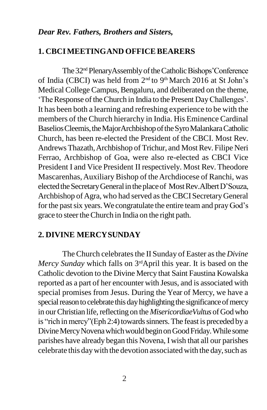#### *Dear Rev. Fathers, Brothers and Sisters,*

#### **1. CBCIMEETINGAND OFFICEBEARERS**

The 32<sup>nd</sup> PlenaryAssembly of the Catholic Bishops'Conference of India (CBCI) was held from 2nd to 9th March 2016 at St John's Medical College Campus, Bengaluru, and deliberated on the theme, 'The Response of the Church in India to the Present Day Challenges'. It has been both a learning and refreshing experience to be with the members of the Church hierarchy in India. His Eminence Cardinal Baselios Cleemis, the Major Archbishop of the Syro Malankara Catholic Church, has been re-elected the President of the CBCI. Most Rev. Andrews Thazath, Archbishop of Trichur, and Most Rev. Filipe Neri Ferrao, Archbishop of Goa, were also re-elected as CBCI Vice President I and Vice President II respectively. Most Rev.Theodore Mascarenhas,Auxiliary Bishop of theArchdiocese of Ranchi, was elected the Secretary General in the place of Most Rev. Albert D'Souza, Archbishop of Agra, who had served as the CBCI Secretary General for the past six years. We congratulate the entire team and pray God's grace to steer the Church in India on the right path.

#### **2. DIVINE MERCYSUNDAY**

The Church celebrates the II Sunday of Easter as the *Divine Mercy Sunday* which falls on 3<sup>rd</sup>April this year. It is based on the Catholic devotion to the Divine Mercy that Saint Faustina Kowalska reported as a part of her encounter with Jesus, and is associated with special promises from Jesus. During the Year of Mercy, we have a special reason to celebrate this day highlighting the significance of mercy in our Christian life, reflecting on the *MisericordiaeVultus* of God who is "rich in mercy"(Eph 2:4) towards sinners. The feast is preceded by a Divine Mercy Novena which would begin on Good Friday. While some parishes have already began this Novena, I wish that all our parishes celebrate this daywith the devotion associatedwith the day,such as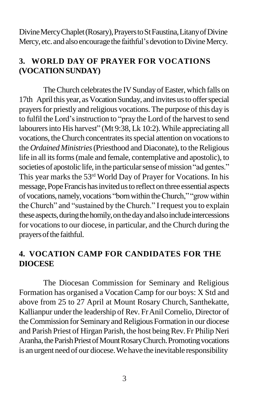Divine Mercy Chaplet (Rosary), Prayers to St Faustina, Litany of Divine Mercy, etc. and also encourage the faithful's devotion to Divine Mercy.

## **3. WORLD DAY OF PRAYER FOR VOCATIONS (VOCATIONSUNDAY)**

The Church celebrates the IV Sunday of Easter, which falls on 17th April this year, as Vocation Sunday, and invites us to offer special prayersfor priestly and religious vocations. The purpose of this day is to fulfil the Lord's instruction to "pray the Lord of the harvest to send labourers into His harvest" (Mt 9:38, Lk 10:2). While appreciating all vocations, the Church concentrates its special attention on vocations to the *Ordained Ministries* (Priesthood and Diaconate), to the Religious life in all its forms (male and female, contemplative and apostolic), to societies of apostolic life, in the particular sense of mission "ad gentes." This year marks the 53rd World Day of Prayer for Vocations. In his message, Pope Francis has invited us to reflect on three essential aspects of vocations,namely,vocations "bornwithin theChurch," "growwithin the Church" and "sustained by the Church." Irequest you to explain these aspects, during the homily, on the day and also include intercessions for vocations to our diocese, in particular, and the Church during the prayers of the faithful.

## **4. VOCATION CAMP FOR CANDIDATES FOR THE DIOCESE**

The Diocesan Commission for Seminary and Religious Formation has organised a Vocation Camp for our boys: X Std and above from 25 to 27 April at Mount Rosary Church, Santhekatte, Kallianpur under the leadership of Rev. Fr Anil Cornelio, Director of the Commission for Seminary and Religious Formation in our diocese and Parish Priest of Hirgan Parish, the host being Rev. Fr Philip Neri Aranha, the Parish Priest of Mount Rosary Church. Promoting vocations is an urgent need of our diocese.Wehave the inevitable responsibility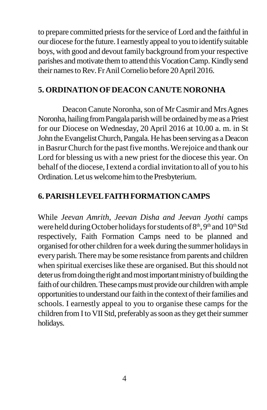to prepare committed priests for the service of Lord and the faithful in our diocese forthe future.I earnestly appeal to you to identifysuitable boys, with good and devout family background from your respective parishes and motivate them to attend this Vocation Camp. Kindly send their names to Rev. Fr Anil Cornelio before 20 April 2016.

## **5. ORDINATIONOFDEACON CANUTE NORONHA**

Deacon Canute Noronha, son of Mr Casmir and Mrs Agnes Noronha, hailing from Pangala parish will be ordained by me as a Priest for our Diocese on Wednesday, 20 April 2016 at 10.00 a. m. in St John the Evangelist Church, Pangala. He has been serving as a Deacon in Basrur Church for the past five months. We rejoice and thank our Lord for blessing us with a new priest for the diocese this year. On behalf of the diocese, I extend a cordial invitation to all of you to his Ordination. Let us welcome him to the Presbyterium.

## **6. PARISHLEVELFAITHFORMATION CAMPS**

While *Jeevan Amrith, Jeevan Disha and Jeevan Jyothi* camps were held during October holidays for students of 8<sup>th</sup>, 9<sup>th</sup> and 10<sup>th</sup> Std respectively, Faith Formation Camps need to be planned and organised for other children for a week during the summer holidaysin every parish.There may be some resistance fromparents and children when spiritual exercises like these are organised. But this should not deter us from doing the right and most important ministry of building the faith of our children. These camps must provide our children with ample opportunities to understand our faith in the context of their families and schools. I earnestly appeal to you to organise these camps for the children from I to VII Std, preferably as soon as they get their summer holidays.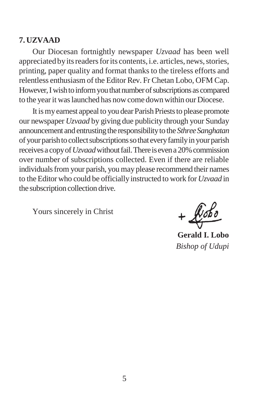#### **7. UZVAAD**

Our Diocesan fortnightly newspaper *Uzvaad* has been well appreciated by its readers for its contents, i.e. articles, news, stories, printing, paper quality and format thanks to the tireless efforts and relentless enthusiasm of the Editor Rev. Fr Chetan Lobo, OFM Cap. However, I wish to inform you that number of subscriptions as compared to the yearit waslaunched has nowcome downwithin our Diocese.

It is my earnest appeal to you dear Parish Priests to please promote our newspaper *Uzvaad* by giving due publicity through your Sunday announcement and entrusting the responsibility to the *Sthree Sanghatan* of yourparishto collectsubscriptionssothat everyfamilyin yourparish receives a copy of *Uzvaad* without fail. There is even a 20% commission over number of subscriptions collected. Even if there are reliable individuals from your parish, you may please recommend their names to the Editor who could be officially instructed to work for *Uzvaad* in the subscription collection drive.

Yours sincerely in Christ

 $+\sqrt{b}$ 

**Gerald I. Lobo** *Bishop of Udupi*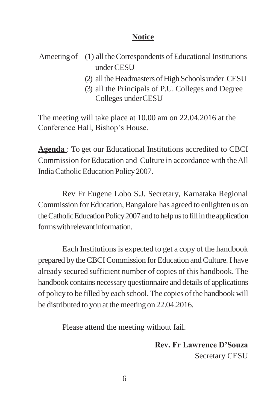#### **Notice**

- Ameeting of (1) all the Correspondents of Educational Institutions underCESU
	- (2) all the Headmasters of High Schools under CESU
	- (3) all the Principals of P.U. Colleges and Degree Colleges underCESU

The meeting will take place at 10.00 am on 22.04.2016 at the Conference Hall, Bishop's House.

**Agenda** : To get our Educational Institutions accredited to CBCI Commission for Education and Culture in accordance with theAll India Catholic Education Policy 2007.

Rev Fr Eugene Lobo S.J. Secretary, Karnataka Regional Commission for Education, Bangalore has agreed to enlighten us on the Catholic Education Policy 2007 and to help us to fill in the application formswithrelevantinformation.

Each Institutions is expected to get a copy of the handbook prepared by the CBCI Commission for Education and Culture. I have already secured sufficient number of copies of this handbook. The handbook contains necessary questionnaire and details of applications of policy to be filled by each school.The copies of the handbook will be distributed to you at the meeting on 22.04.2016.

Please attend the meeting without fail.

**Rev. Fr Lawrence D'Souza** Secretary CESU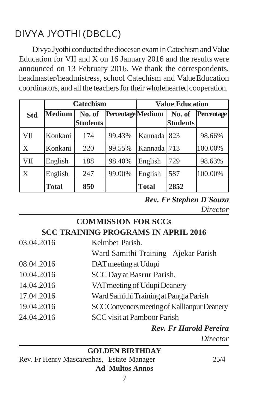# DIVYA JYOTHI (DBCLC)

Divya Jyothi conducted the diocesan exam in Catechism and Value Education for VII and X on 16 January 2016 and the resultswere announced on 13 February 2016. We thank the correspondents, headmaster/headmistress, school Catechism and ValueEducation coordinators, and all the teachers for their wholehearted cooperation.

|            | <b>Catechism</b> |                           |                   | <b>Value Education</b> |                           |            |
|------------|------------------|---------------------------|-------------------|------------------------|---------------------------|------------|
| <b>Std</b> | <b>Medium</b>    | No. of<br><b>Students</b> | Percentage Medium |                        | No. of<br><b>Students</b> | Percentage |
| VII        | Konkani          | 174                       | 99.43%            | Kannada                | 823                       | 98.66%     |
| X          | Konkani          | 220                       | 99.55%            | Kannada                | 713                       | 100.00%    |
| VII        | English          | 188                       | 98.40%            | English                | 729                       | 98.63%     |
| X          | English          | 247                       | 99.00%            | English                | 587                       | 100.00%    |
|            | <b>Total</b>     | 850                       |                   | <b>Total</b>           | 2852                      |            |

*Rev. Fr Stephen D'Souza Director*

## **COMMISSION FOR SCCs SCC TRAINING PROGRAMS IN APRIL 2016**

| 03.04.2016 | Kelmbet Parish.                             |
|------------|---------------------------------------------|
|            | Ward Samithi Training - Ajekar Parish       |
| 08.04.2016 | DAT meeting at Udupi                        |
| 10.04.2016 | SCC Day at Basrur Parish.                   |
| 14.04.2016 | VAT meeting of Udupi Deanery                |
| 17.04.2016 | Ward Samithi Training at Pangla Parish      |
| 19.04.2016 | SCC Conveners meeting of Kallianpur Deanery |
| 24.04.2016 | <b>SCC</b> visit at Pamboor Parish          |
|            | <b>Rev. Fr Harold Pereira</b>               |

*Director*

**GOLDEN BIRTHDAY**

Rev. Fr Henry Mascarenhas, Estate Manager 25/4 **Ad Multos Annos**